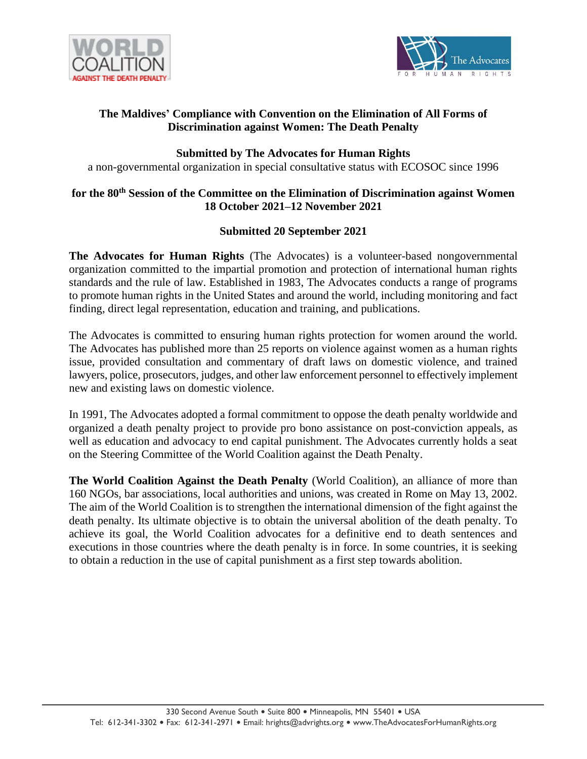



# **The Maldives' Compliance with Convention on the Elimination of All Forms of Discrimination against Women: The Death Penalty**

# **Submitted by The Advocates for Human Rights**

a non-governmental organization in special consultative status with ECOSOC since 1996

# **for the 80th Session of the Committee on the Elimination of Discrimination against Women 18 October 2021–12 November 2021**

# **Submitted 20 September 2021**

**The Advocates for Human Rights** (The Advocates) is a volunteer-based nongovernmental organization committed to the impartial promotion and protection of international human rights standards and the rule of law. Established in 1983, The Advocates conducts a range of programs to promote human rights in the United States and around the world, including monitoring and fact finding, direct legal representation, education and training, and publications.

The Advocates is committed to ensuring human rights protection for women around the world. The Advocates has published more than 25 reports on violence against women as a human rights issue, provided consultation and commentary of draft laws on domestic violence, and trained lawyers, police, prosecutors, judges, and other law enforcement personnel to effectively implement new and existing laws on domestic violence.

In 1991, The Advocates adopted a formal commitment to oppose the death penalty worldwide and organized a death penalty project to provide pro bono assistance on post-conviction appeals, as well as education and advocacy to end capital punishment. The Advocates currently holds a seat on the Steering Committee of the World Coalition against the Death Penalty.

**The World Coalition Against the Death Penalty** (World Coalition), an alliance of more than 160 NGOs, bar associations, local authorities and unions, was created in Rome on May 13, 2002. The aim of the World Coalition is to strengthen the international dimension of the fight against the death penalty. Its ultimate objective is to obtain the universal abolition of the death penalty. To achieve its goal, the World Coalition advocates for a definitive end to death sentences and executions in those countries where the death penalty is in force. In some countries, it is seeking to obtain a reduction in the use of capital punishment as a first step towards abolition.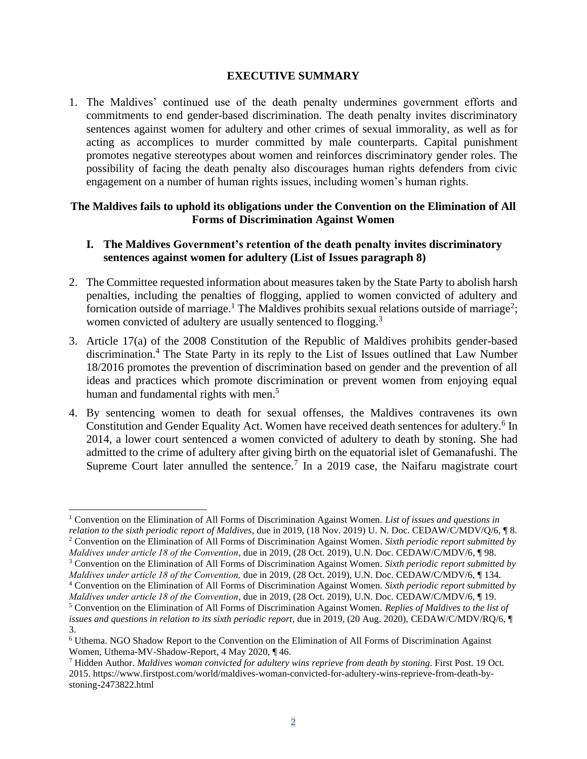#### **EXECUTIVE SUMMARY**

1. The Maldives' continued use of the death penalty undermines government efforts and commitments to end gender-based discrimination. The death penalty invites discriminatory sentences against women for adultery and other crimes of sexual immorality, as well as for acting as accomplices to murder committed by male counterparts. Capital punishment promotes negative stereotypes about women and reinforces discriminatory gender roles. The possibility of facing the death penalty also discourages human rights defenders from civic engagement on a number of human rights issues, including women's human rights.

#### **The Maldives fails to uphold its obligations under the Convention on the Elimination of All Forms of Discrimination Against Women**

### **I. The Maldives Government's retention of the death penalty invites discriminatory sentences against women for adultery (List of Issues paragraph 8)**

- 2. The Committee requested information about measures taken by the State Party to abolish harsh penalties, including the penalties of flogging, applied to women convicted of adultery and fornication outside of marriage.<sup>1</sup> The Maldives prohibits sexual relations outside of marriage<sup>2</sup>; women convicted of adultery are usually sentenced to flogging.<sup>3</sup>
- 3. Article 17(a) of the 2008 Constitution of the Republic of Maldives prohibits gender-based discrimination. <sup>4</sup> The State Party in its reply to the List of Issues outlined that Law Number 18/2016 promotes the prevention of discrimination based on gender and the prevention of all ideas and practices which promote discrimination or prevent women from enjoying equal human and fundamental rights with men.<sup>5</sup>
- 4. By sentencing women to death for sexual offenses, the Maldives contravenes its own Constitution and Gender Equality Act. Women have received death sentences for adultery.<sup>6</sup> In 2014, a lower court sentenced a women convicted of adultery to death by stoning. She had admitted to the crime of adultery after giving birth on the equatorial islet of Gemanafushi. The Supreme Court later annulled the sentence.<sup>7</sup> In a 2019 case, the Naifaru magistrate court

<sup>1</sup> Convention on the Elimination of All Forms of Discrimination Against Women. *List of issues and questions in relation to the sixth periodic report of Maldives,* due in 2019, (18 Nov. 2019) U. N. Doc. CEDAW/C/MDV/Q/6, ¶ 8. <sup>2</sup> Convention on the Elimination of All Forms of Discrimination Against Women. *Sixth periodic report submitted by* 

*Maldives under article 18 of the Convention*, due in 2019, (28 Oct. 2019), U.N. Doc. CEDAW/C/MDV/6, ¶ 98.

<sup>3</sup> Convention on the Elimination of All Forms of Discrimination Against Women*. Sixth periodic report submitted by Maldives under article 18 of the Convention,* due in 2019, (28 Oct. 2019), U.N. Doc. CEDAW/C/MDV/6, ¶ 134. <sup>4</sup> Convention on the Elimination of All Forms of Discrimination Against Women. *Sixth periodic report submitted by* 

*Maldives under article 18 of the Convention*, due in 2019, (28 Oct. 2019), U.N. Doc. CEDAW/C/MDV/6, ¶ 19. <sup>5</sup> Convention on the Elimination of All Forms of Discrimination Against Women. *Replies of Maldives to the list of issues and questions in relation to its sixth periodic report, due in 2019, (20 Aug. 2020), CEDAW/C/MDV/RO/6, ¶* 3.

<sup>6</sup> Uthema. NGO Shadow Report to the Convention on the Elimination of All Forms of Discrimination Against Women, Uthema-MV-Shadow-Report, 4 May 2020, ¶ 46.

<sup>7</sup> Hidden Author. *Maldives woman convicted for adultery wins reprieve from death by stoning*. First Post. 19 Oct. 2015. https://www.firstpost.com/world/maldives-woman-convicted-for-adultery-wins-reprieve-from-death-bystoning-2473822.html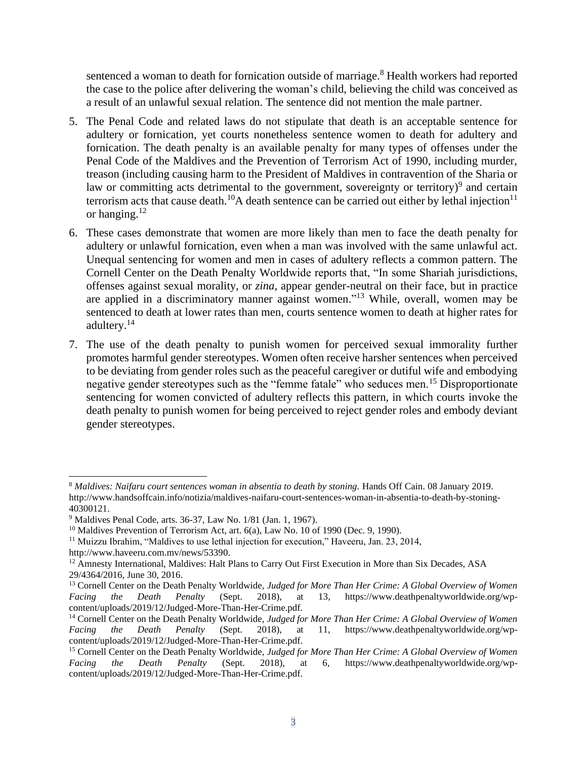sentenced a woman to death for fornication outside of marriage.<sup>8</sup> Health workers had reported the case to the police after delivering the woman's child, believing the child was conceived as a result of an unlawful sexual relation. The sentence did not mention the male partner.

- 5. The Penal Code and related laws do not stipulate that death is an acceptable sentence for adultery or fornication, yet courts nonetheless sentence women to death for adultery and fornication. The death penalty is an available penalty for many types of offenses under the Penal Code of the Maldives and the Prevention of Terrorism Act of 1990, including murder, treason (including causing harm to the President of Maldives in contravention of the Sharia or law or committing acts detrimental to the government, sovereignty or territory)<sup>9</sup> and certain terrorism acts that cause death.<sup>10</sup>A death sentence can be carried out either by lethal injection<sup>11</sup> or hanging. $12$
- 6. These cases demonstrate that women are more likely than men to face the death penalty for adultery or unlawful fornication, even when a man was involved with the same unlawful act. Unequal sentencing for women and men in cases of adultery reflects a common pattern. The Cornell Center on the Death Penalty Worldwide reports that, "In some Shariah jurisdictions, offenses against sexual morality, or *zina*, appear gender-neutral on their face, but in practice are applied in a discriminatory manner against women." <sup>13</sup> While, overall, women may be sentenced to death at lower rates than men, courts sentence women to death at higher rates for adultery.<sup>14</sup>
- 7. The use of the death penalty to punish women for perceived sexual immorality further promotes harmful gender stereotypes. Women often receive harsher sentences when perceived to be deviating from gender roles such as the peaceful caregiver or dutiful wife and embodying negative gender stereotypes such as the "femme fatale" who seduces men.<sup>15</sup> Disproportionate sentencing for women convicted of adultery reflects this pattern, in which courts invoke the death penalty to punish women for being perceived to reject gender roles and embody deviant gender stereotypes.

<sup>8</sup> *Maldives: Naifaru court sentences woman in absentia to death by stoning.* Hands Off Cain. 08 January 2019. [http://www.handsoffcain.info/notizia/maldives-naifaru-court-sentences-woman-in-absentia-to-death-by-stoning-](http://www.handsoffcain.info/notizia/maldives-naifaru-court-sentences-woman-in-absentia-to-death-by-stoning-40300121)[40300121.](http://www.handsoffcain.info/notizia/maldives-naifaru-court-sentences-woman-in-absentia-to-death-by-stoning-40300121)

<sup>9</sup> Maldives Penal Code, arts. 36-37, Law No. 1/81 (Jan. 1, 1967).

 $10$  Maldives Prevention of Terrorism Act, art. 6(a), Law No. 10 of 1990 (Dec. 9, 1990).

<sup>&</sup>lt;sup>11</sup> Muizzu Ibrahim, "Maldives to use lethal injection for execution," Haveeru, Jan. 23, 2014, http://www.haveeru.com.mv/news/53390.

<sup>&</sup>lt;sup>12</sup> Amnesty International, Maldives: Halt Plans to Carry Out First Execution in More than Six Decades, ASA 29/4364/2016, June 30, 2016.

<sup>13</sup> Cornell Center on the Death Penalty Worldwide, *Judged for More Than Her Crime: A Global Overview of Women Facing the Death Penalty* (Sept. 2018), at 13, https://www.deathpenaltyworldwide.org/wpcontent/uploads/2019/12/Judged-More-Than-Her-Crime.pdf.

<sup>14</sup> Cornell Center on the Death Penalty Worldwide, *Judged for More Than Her Crime: A Global Overview of Women Facing the Death Penalty* (Sept. 2018), at 11, https://www.deathpenaltyworldwide.org/wpcontent/uploads/2019/12/Judged-More-Than-Her-Crime.pdf.

<sup>15</sup> Cornell Center on the Death Penalty Worldwide, *Judged for More Than Her Crime: A Global Overview of Women Facing the Death Penalty* (Sept. 2018), at 6, https://www.deathpenaltyworldwide.org/wpcontent/uploads/2019/12/Judged-More-Than-Her-Crime.pdf.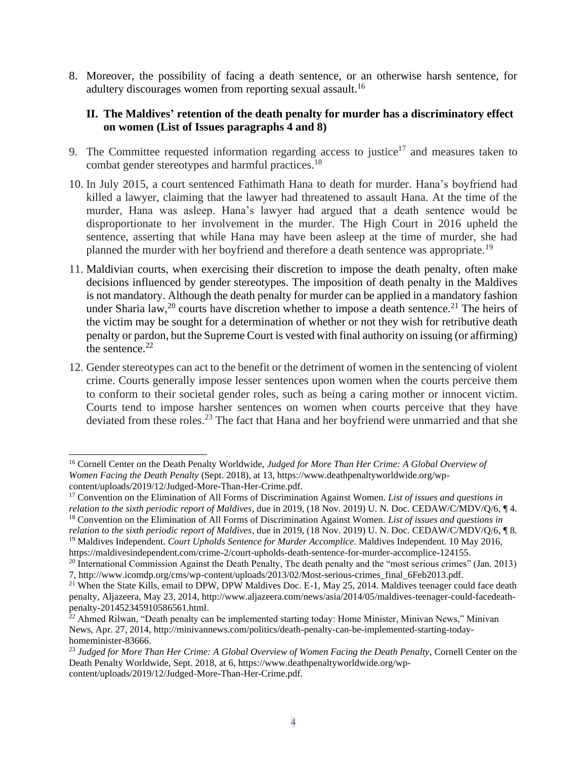8. Moreover, the possibility of facing a death sentence, or an otherwise harsh sentence, for adultery discourages women from reporting sexual assault.<sup>16</sup>

#### **II. The Maldives' retention of the death penalty for murder has a discriminatory effect on women (List of Issues paragraphs 4 and 8)**

- 9. The Committee requested information regarding access to justice<sup>17</sup> and measures taken to combat gender stereotypes and harmful practices.<sup>18</sup>
- 10. In July 2015, a court sentenced Fathimath Hana to death for murder. Hana's boyfriend had killed a lawyer, claiming that the lawyer had threatened to assault Hana. At the time of the murder, Hana was asleep. Hana's lawyer had argued that a death sentence would be disproportionate to her involvement in the murder. The High Court in 2016 upheld the sentence, asserting that while Hana may have been asleep at the time of murder, she had planned the murder with her boyfriend and therefore a death sentence was appropriate.<sup>19</sup>
- 11. Maldivian courts, when exercising their discretion to impose the death penalty, often make decisions influenced by gender stereotypes. The imposition of death penalty in the Maldives is not mandatory. Although the death penalty for murder can be applied in a mandatory fashion under Sharia law,<sup>20</sup> courts have discretion whether to impose a death sentence.<sup>21</sup> The heirs of the victim may be sought for a determination of whether or not they wish for retributive death penalty or pardon, but the Supreme Court is vested with final authority on issuing (or affirming) the sentence. $22$
- 12. Gender stereotypes can act to the benefit or the detriment of women in the sentencing of violent crime. Courts generally impose lesser sentences upon women when the courts perceive them to conform to their societal gender roles, such as being a caring mother or innocent victim. Courts tend to impose harsher sentences on women when courts perceive that they have deviated from these roles.<sup>23</sup> The fact that Hana and her boyfriend were unmarried and that she

<sup>16</sup> Cornell Center on the Death Penalty Worldwide, *Judged for More Than Her Crime: A Global Overview of Women Facing the Death Penalty* (Sept. 2018), at 13, https://www.deathpenaltyworldwide.org/wpcontent/uploads/2019/12/Judged-More-Than-Her-Crime.pdf.

<sup>17</sup> Convention on the Elimination of All Forms of Discrimination Against Women. *List of issues and questions in relation to the sixth periodic report of Maldives,* due in 2019, (18 Nov. 2019) U. N. Doc. CEDAW/C/MDV/Q/6, ¶ 4. <sup>18</sup> Convention on the Elimination of All Forms of Discrimination Against Women. *List of issues and questions in* 

*relation to the sixth periodic report of Maldives,* due in 2019, (18 Nov. 2019) U. N. Doc. CEDAW/C/MDV/Q/6, ¶ 8. <sup>19</sup> Maldives Independent. *Court Upholds Sentence for Murder Accomplice.* Maldives Independent. 10 May 2016,

https://maldivesindependent.com/crime-2/court-upholds-death-sentence-for-murder-accomplice-124155. <sup>20</sup> International Commission Against the Death Penalty, The death penalty and the "most serious crimes" (Jan. 2013)

<sup>7,</sup> http://www.icomdp.org/cms/wp-content/uploads/2013/02/Most-serious-crimes\_final\_6Feb2013.pdf.

<sup>&</sup>lt;sup>21</sup> When the State Kills, email to DPW, DPW Maldives Doc. E-1, May 25, 2014. Maldives teenager could face death penalty, Aljazeera, May 23, 2014, http://www.aljazeera.com/news/asia/2014/05/maldives-teenager-could-facedeathpenalty-201452345910586561.html.

 $^{22}$  Ahmed Rilwan, "Death penalty can be implemented starting today: Home Minister, Minivan News," Minivan News, Apr. 27, 2014, http://minivannews.com/politics/death-penalty-can-be-implemented-starting-todayhomeminister-83666.

<sup>&</sup>lt;sup>23</sup> Judged for More Than Her Crime: A Global Overview of Women Facing the Death Penalty, Cornell Center on the Death Penalty Worldwide, Sept. 2018, at 6, https://www.deathpenaltyworldwide.org/wpcontent/uploads/2019/12/Judged-More-Than-Her-Crime.pdf.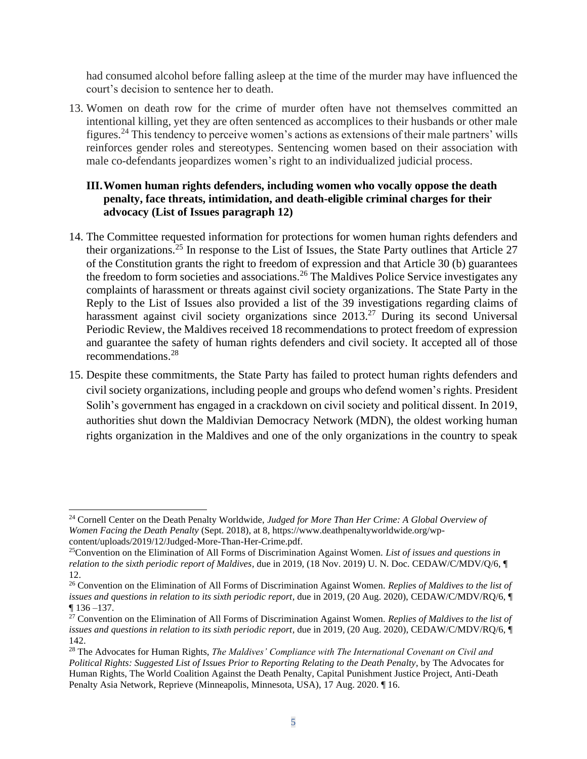had consumed alcohol before falling asleep at the time of the murder may have influenced the court's decision to sentence her to death.

13. Women on death row for the crime of murder often have not themselves committed an intentional killing, yet they are often sentenced as accomplices to their husbands or other male figures.<sup>24</sup> This tendency to perceive women's actions as extensions of their male partners' wills reinforces gender roles and stereotypes. Sentencing women based on their association with male co-defendants jeopardizes women's right to an individualized judicial process.

### **III.Women human rights defenders, including women who vocally oppose the death penalty, face threats, intimidation, and death-eligible criminal charges for their advocacy (List of Issues paragraph 12)**

- 14. The Committee requested information for protections for women human rights defenders and their organizations.<sup>25</sup> In response to the List of Issues, the State Party outlines that Article 27 of the Constitution grants the right to freedom of expression and that Article 30 (b) guarantees the freedom to form societies and associations.<sup>26</sup> The Maldives Police Service investigates any complaints of harassment or threats against civil society organizations. The State Party in the Reply to the List of Issues also provided a list of the 39 investigations regarding claims of harassment against civil society organizations since 2013.<sup>27</sup> During its second Universal Periodic Review, the Maldives received 18 recommendations to protect freedom of expression and guarantee the safety of human rights defenders and civil society. It accepted all of those recommendations.<sup>28</sup>
- 15. Despite these commitments, the State Party has failed to protect human rights defenders and civil society organizations, including people and groups who defend women's rights. President Solih's government has engaged in a crackdown on civil society and political dissent. In 2019, authorities shut down the Maldivian Democracy Network (MDN), the oldest working human rights organization in the Maldives and one of the only organizations in the country to speak

<sup>24</sup> Cornell Center on the Death Penalty Worldwide, *Judged for More Than Her Crime: A Global Overview of Women Facing the Death Penalty* (Sept. 2018), at 8, https://www.deathpenaltyworldwide.org/wpcontent/uploads/2019/12/Judged-More-Than-Her-Crime.pdf.

<sup>25</sup>Convention on the Elimination of All Forms of Discrimination Against Women. *List of issues and questions in relation to the sixth periodic report of Maldives,* due in 2019, (18 Nov. 2019) U. N. Doc. CEDAW/C/MDV/Q/6, ¶ 12.

<sup>26</sup> Convention on the Elimination of All Forms of Discrimination Against Women. *Replies of Maldives to the list of issues and questions in relation to its sixth periodic report, due in 2019, (20 Aug. 2020), CEDAW/C/MDV/RQ/6, ¶* ¶ 136 –137.

<sup>27</sup> Convention on the Elimination of All Forms of Discrimination Against Women. *Replies of Maldives to the list of issues and questions in relation to its sixth periodic report, due in 2019, (20 Aug. 2020), CEDAW/C/MDV/RQ/6, ¶* 142.

<sup>28</sup> The Advocates for Human Rights, *The Maldives' Compliance with The International Covenant on Civil and Political Rights: Suggested List of Issues Prior to Reporting Relating to the Death Penalty*, by The Advocates for Human Rights, The World Coalition Against the Death Penalty, Capital Punishment Justice Project, Anti-Death Penalty Asia Network, Reprieve (Minneapolis, Minnesota, USA), 17 Aug. 2020. ¶ 16.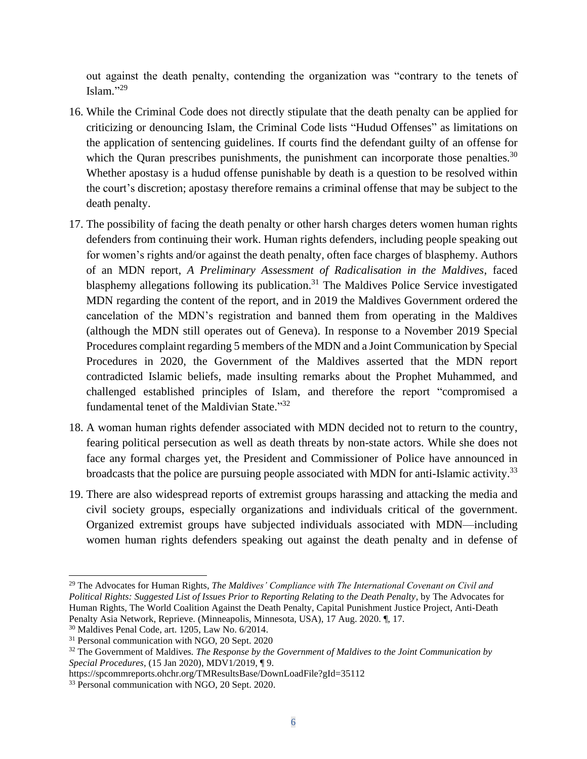out against the death penalty, contending the organization was "contrary to the tenets of Islam." 29

- 16. While the Criminal Code does not directly stipulate that the death penalty can be applied for criticizing or denouncing Islam, the Criminal Code lists "Hudud Offenses" as limitations on the application of sentencing guidelines. If courts find the defendant guilty of an offense for which the Quran prescribes punishments, the punishment can incorporate those penalties. $30$ Whether apostasy is a hudud offense punishable by death is a question to be resolved within the court's discretion; apostasy therefore remains a criminal offense that may be subject to the death penalty.
- 17. The possibility of facing the death penalty or other harsh charges deters women human rights defenders from continuing their work. Human rights defenders, including people speaking out for women's rights and/or against the death penalty, often face charges of blasphemy. Authors of an MDN report, *A Preliminary Assessment of Radicalisation in the Maldives*, faced blasphemy allegations following its publication.<sup>31</sup> The Maldives Police Service investigated MDN regarding the content of the report, and in 2019 the Maldives Government ordered the cancelation of the MDN's registration and banned them from operating in the Maldives (although the MDN still operates out of Geneva). In response to a November 2019 Special Procedures complaint regarding 5 members of the MDN and a Joint Communication by Special Procedures in 2020, the Government of the Maldives asserted that the MDN report contradicted Islamic beliefs, made insulting remarks about the Prophet Muhammed, and challenged established principles of Islam, and therefore the report "compromised a fundamental tenet of the Maldivian State."<sup>32</sup>
- 18. A woman human rights defender associated with MDN decided not to return to the country, fearing political persecution as well as death threats by non-state actors. While she does not face any formal charges yet, the President and Commissioner of Police have announced in broadcasts that the police are pursuing people associated with MDN for anti-Islamic activity.<sup>33</sup>
- 19. There are also widespread reports of extremist groups harassing and attacking the media and civil society groups, especially organizations and individuals critical of the government. Organized extremist groups have subjected individuals associated with MDN—including women human rights defenders speaking out against the death penalty and in defense of

<sup>29</sup> The Advocates for Human Rights, *The Maldives' Compliance with The International Covenant on Civil and Political Rights: Suggested List of Issues Prior to Reporting Relating to the Death Penalty*, by The Advocates for Human Rights, The World Coalition Against the Death Penalty, Capital Punishment Justice Project, Anti-Death Penalty Asia Network, Reprieve. (Minneapolis, Minnesota, USA), 17 Aug. 2020. ¶, 17.

<sup>30</sup> Maldives Penal Code, art. 1205, Law No. 6/2014.

<sup>31</sup> Personal communication with NGO, 20 Sept. 2020

<sup>32</sup> The Government of Maldives. *The Response by the Government of Maldives to the Joint Communication by Special Procedures*, (15 Jan 2020), MDV1/2019, ¶ 9.

https://spcommreports.ohchr.org/TMResultsBase/DownLoadFile?gId=35112

<sup>33</sup> Personal communication with NGO, 20 Sept. 2020.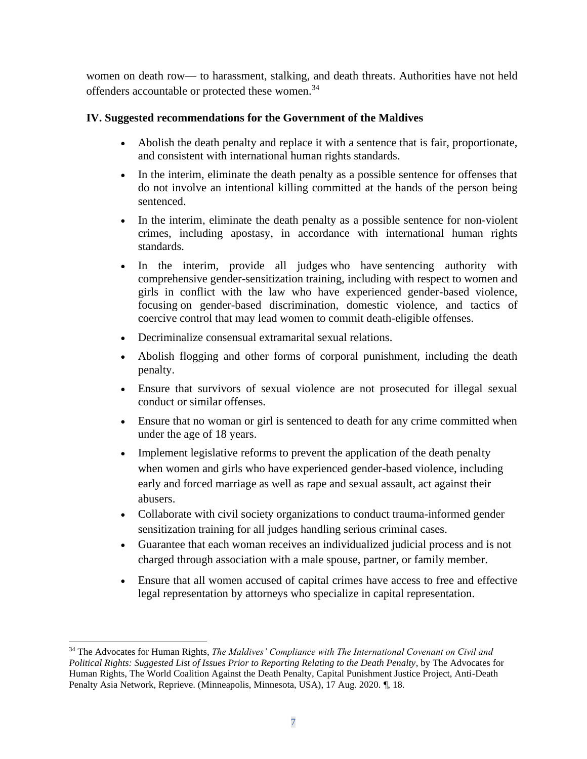women on death row— to harassment, stalking, and death threats. Authorities have not held offenders accountable or protected these women.<sup>34</sup>

# **IV. Suggested recommendations for the Government of the Maldives**

- Abolish the death penalty and replace it with a sentence that is fair, proportionate, and consistent with international human rights standards.
- In the interim, eliminate the death penalty as a possible sentence for offenses that do not involve an intentional killing committed at the hands of the person being sentenced.
- In the interim, eliminate the death penalty as a possible sentence for non-violent crimes, including apostasy, in accordance with international human rights standards.
- In the interim, provide all judges who have sentencing authority with comprehensive gender-sensitization training, including with respect to women and girls in conflict with the law who have experienced gender-based violence, focusing on gender-based discrimination, domestic violence, and tactics of coercive control that may lead women to commit death-eligible offenses.
- Decriminalize consensual extramarital sexual relations.
- Abolish flogging and other forms of corporal punishment, including the death penalty.
- Ensure that survivors of sexual violence are not prosecuted for illegal sexual conduct or similar offenses.
- Ensure that no woman or girl is sentenced to death for any crime committed when under the age of 18 years.
- Implement legislative reforms to prevent the application of the death penalty when women and girls who have experienced gender-based violence, including early and forced marriage as well as rape and sexual assault, act against their abusers.
- Collaborate with civil society organizations to conduct trauma-informed gender sensitization training for all judges handling serious criminal cases.
- Guarantee that each woman receives an individualized judicial process and is not charged through association with a male spouse, partner, or family member.
- Ensure that all women accused of capital crimes have access to free and effective legal representation by attorneys who specialize in capital representation.

<sup>34</sup> The Advocates for Human Rights, *The Maldives' Compliance with The International Covenant on Civil and Political Rights: Suggested List of Issues Prior to Reporting Relating to the Death Penalty*, by The Advocates for Human Rights, The World Coalition Against the Death Penalty, Capital Punishment Justice Project, Anti-Death Penalty Asia Network, Reprieve. (Minneapolis, Minnesota, USA), 17 Aug. 2020. ¶, 18.